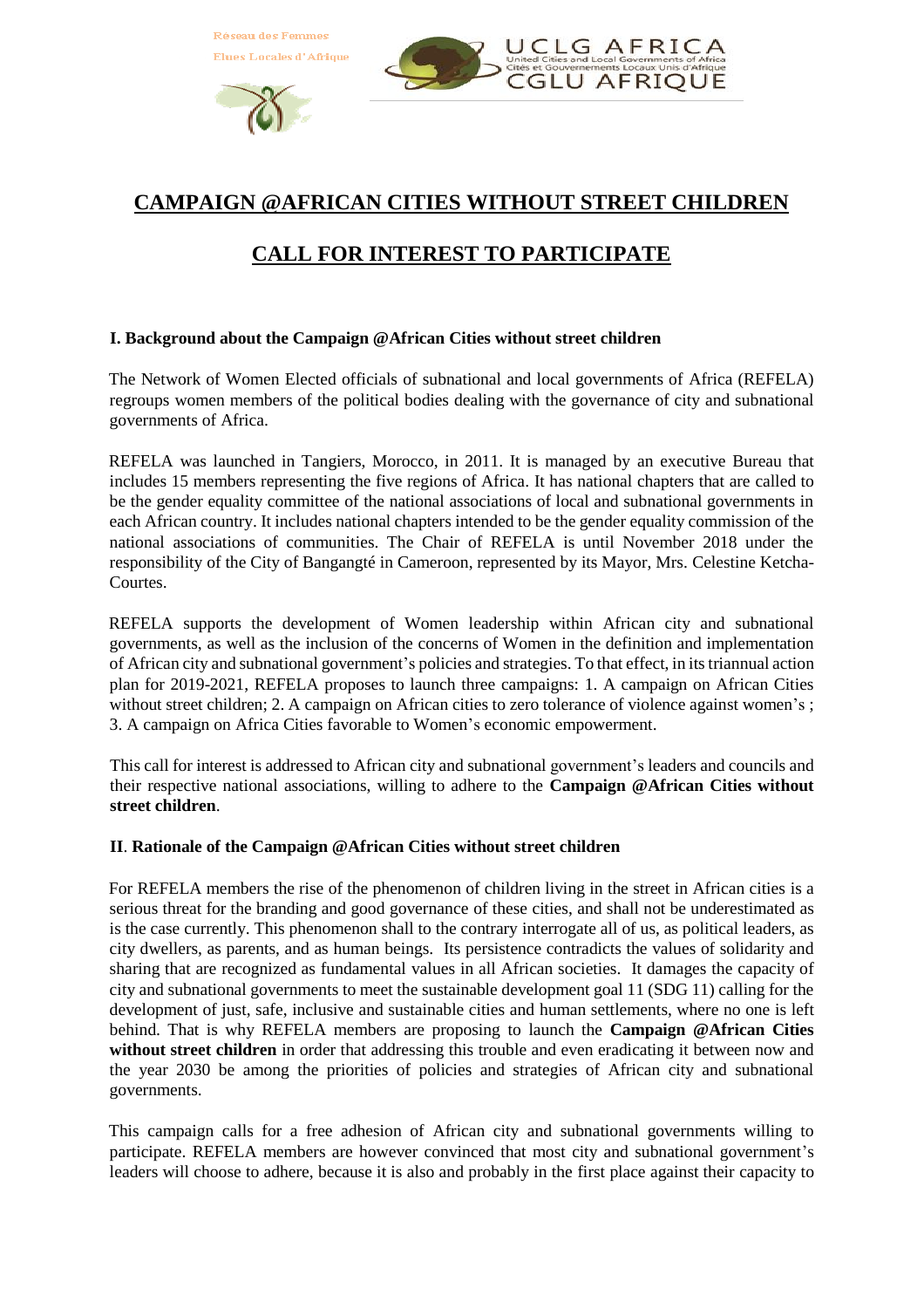



# **CAMPAIGN @AFRICAN CITIES WITHOUT STREET CHILDREN**

# **CALL FOR INTEREST TO PARTICIPATE**

## **I. Background about the Campaign @African Cities without street children**

The Network of Women Elected officials of subnational and local governments of Africa (REFELA) regroups women members of the political bodies dealing with the governance of city and subnational governments of Africa.

REFELA was launched in Tangiers, Morocco, in 2011. It is managed by an executive Bureau that includes 15 members representing the five regions of Africa. It has national chapters that are called to be the gender equality committee of the national associations of local and subnational governments in each African country. It includes national chapters intended to be the gender equality commission of the national associations of communities. The Chair of REFELA is until November 2018 under the responsibility of the City of Bangangté in Cameroon, represented by its Mayor, Mrs. Celestine Ketcha-Courtes.

REFELA supports the development of Women leadership within African city and subnational governments, as well as the inclusion of the concerns of Women in the definition and implementation of African city and subnational government's policies and strategies. To that effect, in its triannual action plan for 2019-2021, REFELA proposes to launch three campaigns: 1. A campaign on African Cities without street children; 2. A campaign on African cities to zero tolerance of violence against women's; 3. A campaign on Africa Cities favorable to Women's economic empowerment.

This call for interest is addressed to African city and subnational government's leaders and councils and their respective national associations, willing to adhere to the **Campaign @African Cities without street children**.

#### **II**. **Rationale of the Campaign @African Cities without street children**

For REFELA members the rise of the phenomenon of children living in the street in African cities is a serious threat for the branding and good governance of these cities, and shall not be underestimated as is the case currently. This phenomenon shall to the contrary interrogate all of us, as political leaders, as city dwellers, as parents, and as human beings. Its persistence contradicts the values of solidarity and sharing that are recognized as fundamental values in all African societies. It damages the capacity of city and subnational governments to meet the sustainable development goal 11 (SDG 11) calling for the development of just, safe, inclusive and sustainable cities and human settlements, where no one is left behind. That is why REFELA members are proposing to launch the **Campaign @African Cities without street children** in order that addressing this trouble and even eradicating it between now and the year 2030 be among the priorities of policies and strategies of African city and subnational governments.

This campaign calls for a free adhesion of African city and subnational governments willing to participate. REFELA members are however convinced that most city and subnational government's leaders will choose to adhere, because it is also and probably in the first place against their capacity to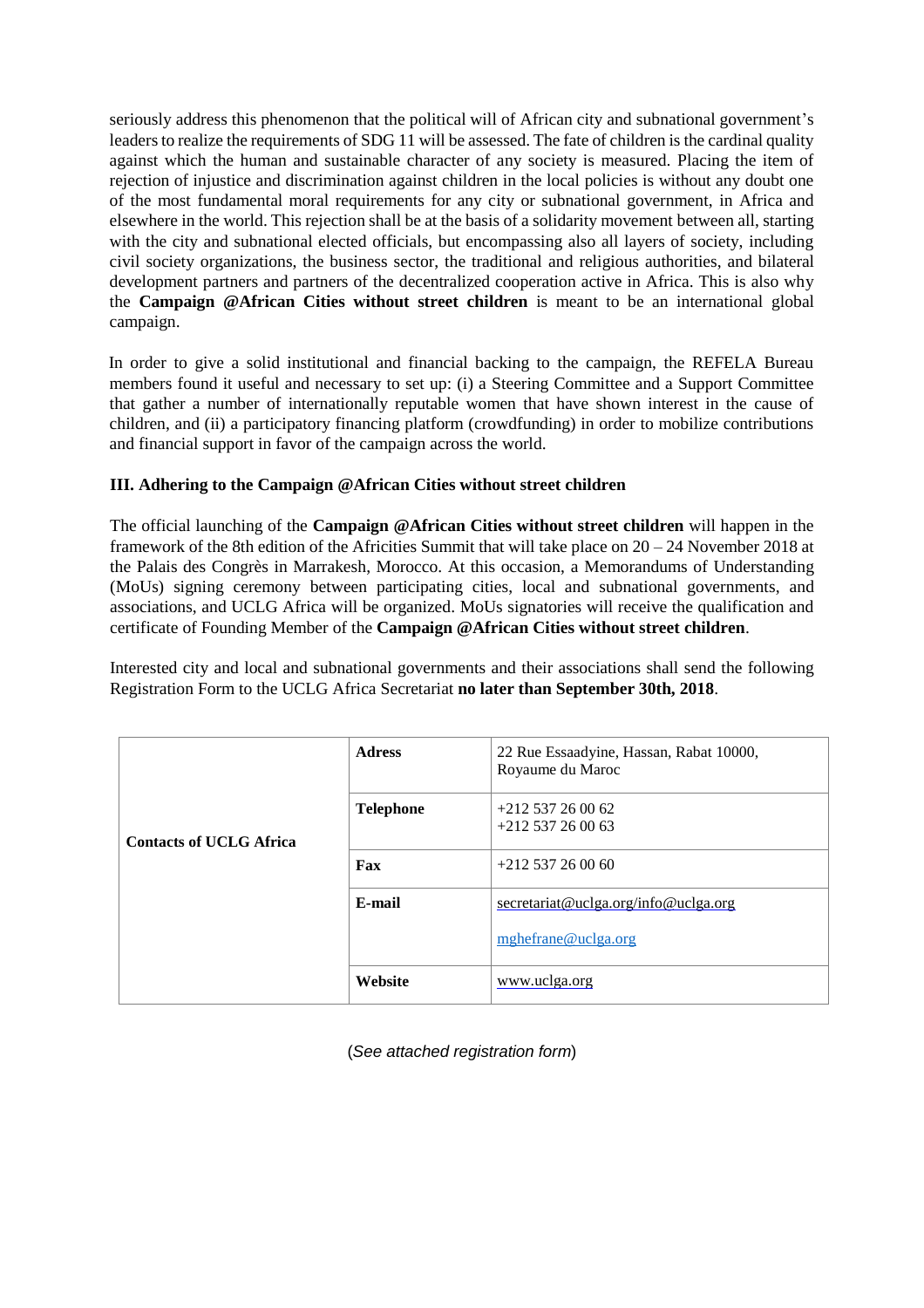seriously address this phenomenon that the political will of African city and subnational government's leaders to realize the requirements of SDG 11 will be assessed. The fate of children is the cardinal quality against which the human and sustainable character of any society is measured. Placing the item of rejection of injustice and discrimination against children in the local policies is without any doubt one of the most fundamental moral requirements for any city or subnational government, in Africa and elsewhere in the world. This rejection shall be at the basis of a solidarity movement between all, starting with the city and subnational elected officials, but encompassing also all layers of society, including civil society organizations, the business sector, the traditional and religious authorities, and bilateral development partners and partners of the decentralized cooperation active in Africa. This is also why the **Campaign @African Cities without street children** is meant to be an international global campaign.

In order to give a solid institutional and financial backing to the campaign, the REFELA Bureau members found it useful and necessary to set up: (i) a Steering Committee and a Support Committee that gather a number of internationally reputable women that have shown interest in the cause of children, and (ii) a participatory financing platform (crowdfunding) in order to mobilize contributions and financial support in favor of the campaign across the world.

## **III. Adhering to the Campaign @African Cities without street children**

The official launching of the **Campaign @African Cities without street children** will happen in the framework of the 8th edition of the Africities Summit that will take place on 20 – 24 November 2018 at the Palais des Congrès in Marrakesh, Morocco. At this occasion, a Memorandums of Understanding (MoUs) signing ceremony between participating cities, local and subnational governments, and associations, and UCLG Africa will be organized. MoUs signatories will receive the qualification and certificate of Founding Member of the **Campaign @African Cities without street children**.

Interested city and local and subnational governments and their associations shall send the following Registration Form to the UCLG Africa Secretariat **no later than September 30th, 2018**.

|                                | <b>Adress</b>    | 22 Rue Essaadyine, Hassan, Rabat 10000,<br>Royaume du Maroc |
|--------------------------------|------------------|-------------------------------------------------------------|
| <b>Contacts of UCLG Africa</b> | <b>Telephone</b> | $+212537260062$<br>$+212537260063$                          |
|                                | Fax              | $+212537260060$                                             |
|                                | E-mail           | secretariat@uclga.org/info@uclga.org                        |
|                                |                  | mghefrane@uclga.org                                         |
|                                | Website          | www.uclga.org                                               |

(*See attached registration form*)